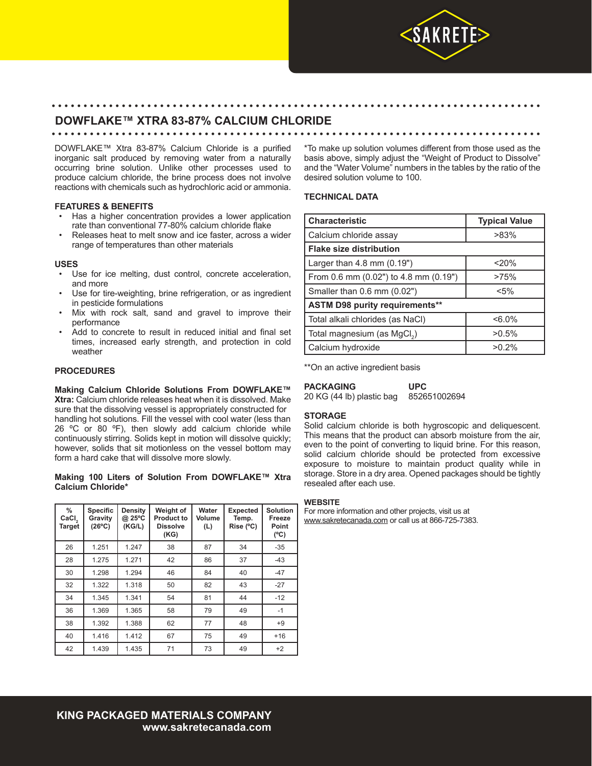

# **DOWFLAKE™ XTRA 83-87% CALCIUM CHLORIDE**

#### • • • • • • • • • • • • • • • • • • • • • • • • • • • • • • • • • • • • • • • • • • • • • • • • • • • • • • • • • • • • • • • • • • • • • • • • • • • • •

DOWFLAKE™ Xtra 83-87% Calcium Chloride is a purified inorganic salt produced by removing water from a naturally occurring brine solution. Unlike other processes used to produce calcium chloride, the brine process does not involve reactions with chemicals such as hydrochloric acid or ammonia.

## **FEATURES & BENEFITS**

- Has a higher concentration provides a lower application rate than conventional 77-80% calcium chloride flake
- Releases heat to melt snow and ice faster, across a wider range of temperatures than other materials

#### **USES**

- Use for ice melting, dust control, concrete acceleration, and more
- Use for tire-weighting, brine refrigeration, or as ingredient in pesticide formulations
- Mix with rock salt, sand and gravel to improve their performance
- Add to concrete to result in reduced initial and final set times, increased early strength, and protection in cold weather

## **PROCEDURES**

**Making Calcium Chloride Solutions From DOWFLAKE™ Xtra:** Calcium chloride releases heat when it is dissolved. Make sure that the dissolving vessel is appropriately constructed for handling hot solutions. Fill the vessel with cool water (less than 26  $^{\circ}$ C or 80  $^{\circ}$ F), then slowly add calcium chloride while continuously stirring. Solids kept in motion will dissolve quickly; however, solids that sit motionless on the vessel bottom may form a hard cake that will dissolve more slowly.

#### **Making 100 Liters of Solution From DOWFLAKE™ Xtra Calcium Chloride\***

| $\frac{0}{0}$<br>CaCl <sub>2</sub><br><b>Target</b> | <b>Specific</b><br>Gravity<br>$(26^{\circ}C)$ | Density<br>@ 25°C<br>(KGIL) | Weight of<br><b>Product to</b><br><b>Dissolve</b><br>(KG) | Water<br>Volume<br>(L) | <b>Expected</b><br>Temp.<br>Rise (°C) | <b>Solution</b><br>Freeze<br>Point<br>$(^{\circ}C)$ |
|-----------------------------------------------------|-----------------------------------------------|-----------------------------|-----------------------------------------------------------|------------------------|---------------------------------------|-----------------------------------------------------|
| 26                                                  | 1.251                                         | 1.247                       | 38                                                        | 87                     | 34                                    | $-35$                                               |
| 28                                                  | 1.275                                         | 1.271                       | 42                                                        | 86                     | 37                                    | $-43$                                               |
| 30                                                  | 1.298                                         | 1.294                       | 46                                                        | 84                     | 40                                    | $-47$                                               |
| 32                                                  | 1.322                                         | 1.318                       | 50                                                        | 82                     | 43                                    | $-27$                                               |
| 34                                                  | 1.345                                         | 1.341                       | 54                                                        | 81                     | 44                                    | $-12$                                               |
| 36                                                  | 1.369                                         | 1.365                       | 58                                                        | 79                     | 49                                    | $-1$                                                |
| 38                                                  | 1.392                                         | 1.388                       | 62                                                        | 77                     | 48                                    | $+9$                                                |
| 40                                                  | 1.416                                         | 1.412                       | 67                                                        | 75                     | 49                                    | $+16$                                               |
| 42                                                  | 1.439                                         | 1.435                       | 71                                                        | 73                     | 49                                    | $+2$                                                |

\*To make up solution volumes different from those used as the basis above, simply adjust the "Weight of Product to Dissolve" and the "Water Volume" numbers in the tables by the ratio of the desired solution volume to 100.

## **TECHNICAL DATA**

• • • • • • • • • • • • • • • • • • • • • • • • • • • • • • • • • • • • • • • • • • • • • • • • • • • • • • • • • • • • • • • • • • • • • • • • • • • • •

| <b>Characteristic</b>                   | <b>Typical Value</b> |  |  |  |  |
|-----------------------------------------|----------------------|--|--|--|--|
| Calcium chloride assay                  | $>83\%$              |  |  |  |  |
| <b>Flake size distribution</b>          |                      |  |  |  |  |
| Larger than 4.8 mm (0.19")              | 20%                  |  |  |  |  |
| From 0.6 mm (0.02") to 4.8 mm (0.19")   | >75%                 |  |  |  |  |
| Smaller than 0.6 mm (0.02")             | $< 5\%$              |  |  |  |  |
| <b>ASTM D98 purity requirements**</b>   |                      |  |  |  |  |
| Total alkali chlorides (as NaCl)        | $<6.0\%$             |  |  |  |  |
| Total magnesium (as MgCl <sub>2</sub> ) | $>0.5\%$             |  |  |  |  |
| Calcium hydroxide                       | $>0.2\%$             |  |  |  |  |

\*\*On an active ingredient basis

| PACKAGING                 | <b>UPC</b>   |  |  |
|---------------------------|--------------|--|--|
| 20 KG (44 lb) plastic bag | 852651002694 |  |  |

## **STORAGE**

Solid calcium chloride is both hygroscopic and deliquescent. This means that the product can absorb moisture from the air, even to the point of converting to liquid brine. For this reason, solid calcium chloride should be protected from excessive exposure to moisture to maintain product quality while in storage. Store in a dry area. Opened packages should be tightly resealed after each use.

#### **WEBSITE**

For more information and other projects, visit us at www.sakretecanada.com or call us at 866-725-7383.